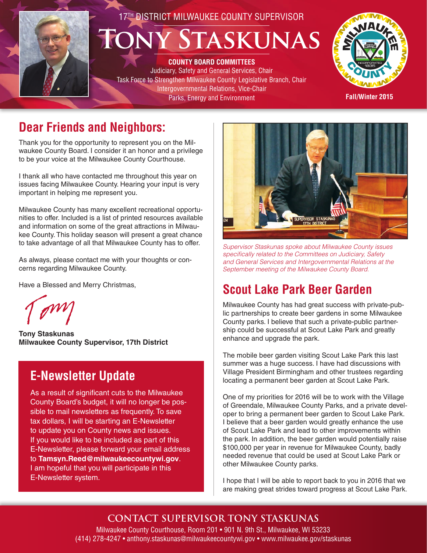

# 17TH DISTRICT MILWAUKEE COUNTY SUPERVISOR **Tony Staskunas**

**COUNTY BOARD COMMITTEES**  Judiciary, Safety and General Services, Chair Task Force to Strengthen Milwaukee County Legislative Branch, Chair Intergovernmental Relations, Vice-Chair Parks, Energy and Environment



**Fall/Winter 2015**

## **Dear Friends and Neighbors:**

Thank you for the opportunity to represent you on the Milwaukee County Board. I consider it an honor and a privilege to be your voice at the Milwaukee County Courthouse.

I thank all who have contacted me throughout this year on issues facing Milwaukee County. Hearing your input is very important in helping me represent you.

Milwaukee County has many excellent recreational opportunities to offer. Included is a list of printed resources available and information on some of the great attractions in Milwaukee County. This holiday season will present a great chance to take advantage of all that Milwaukee County has to offer.

As always, please contact me with your thoughts or concerns regarding Milwaukee County.

Have a Blessed and Merry Christmas,

**Tony Staskunas Milwaukee County Supervisor, 17th District**

#### **E-Newsletter Update**

As a result of significant cuts to the Milwaukee County Board's budget, it will no longer be possible to mail newsletters as frequently. To save tax dollars, I will be starting an E-Newsletter to update you on County news and issues. If you would like to be included as part of this E-Newsletter, please forward your email address to **Tamsyn.Reed@milwaukeecountywi.gov**. I am hopeful that you will participate in this E-Newsletter system.



*Supervisor Staskunas spoke about Milwaukee County issues specifically related to the Committees on Judiciary, Safety and General Services and Intergovernmental Relations at the September meeting of the Milwaukee County Board.*

## **Scout Lake Park Beer Garden**

Milwaukee County has had great success with private-public partnerships to create beer gardens in some Milwaukee County parks. I believe that such a private-public partnership could be successful at Scout Lake Park and greatly enhance and upgrade the park.

The mobile beer garden visiting Scout Lake Park this last summer was a huge success. I have had discussions with Village President Birmingham and other trustees regarding locating a permanent beer garden at Scout Lake Park.

One of my priorities for 2016 will be to work with the Village of Greendale, Milwaukee County Parks, and a private developer to bring a permanent beer garden to Scout Lake Park. I believe that a beer garden would greatly enhance the use of Scout Lake Park and lead to other improvements within the park. In addition, the beer garden would potentially raise \$100,000 per year in revenue for Milwaukee County, badly needed revenue that could be used at Scout Lake Park or other Milwaukee County parks.

I hope that I will be able to report back to you in 2016 that we are making great strides toward progress at Scout Lake Park.

**CONTACT SUPERVISOR TONY STASKUNAS**

Milwaukee County Courthouse, Room 201 • 901 N. 9th St., Milwaukee, WI 53233 (414) 278-4247 • anthony.staskunas@milwaukeecountywi.gov • www.milwaukee.gov/staskunas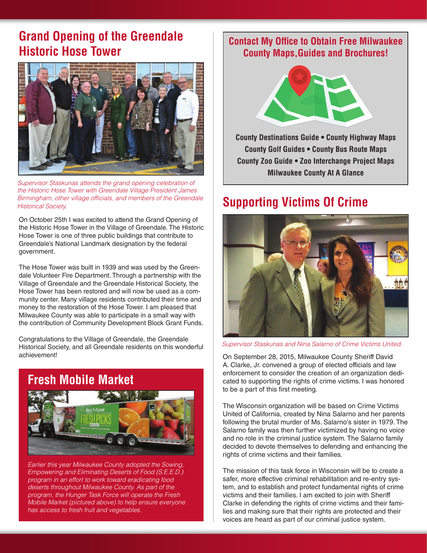#### **Grand Opening of the Greendale Historic Hose Tower**



*Supervisor Staskunas attends the grand opening celebration of the Historic Hose Tower with Greendale Village President James Birmingham, other village officials, and members of the Greendale Historical Society.*

On October 25th I was excited to attend the Grand Opening of the Historic Hose Tower in the Village of Greendale. The Historic Hose Tower is one of three public buildings that contribute to Greendale's National Landmark designation by the federal government.

The Hose Tower was built in 1939 and was used by the Greendale Volunteer Fire Department. Through a partnership with the Village of Greendale and the Greendale Historical Society, the Hose Tower has been restored and will now be used as a community center. Many village residents contributed their time and money to the restoration of the Hose Tower. I am pleased that Milwaukee County was able to participate in a small way with the contribution of Community Development Block Grant Funds.

Congratulations to the Village of Greendale, the Greendale Historical Society, and all Greendale residents on this wonderful achievement!



*Earlier this year Milwaukee County adopted the Sowing, Empowering and Eliminating Deserts of Food (S.E.E.D.) program in an effort to work toward eradicating food deserts throughout Milwaukee County. As part of the program, the Hunger Task Force will operate the Fresh Mobile Market (pictured above) to help ensure everyone has access to fresh fruit and vegetables.*

#### **Contact My Office to Obtain Free Milwaukee County Maps,Guides and Brochures!**



**County Destinations Guide • County Highway Maps County Golf Guides • County Bus Route Maps County Zoo Guide • Zoo Interchange Project Maps Milwaukee County At A Glance**

#### **Supporting Victims Of Crime**



*Supervisor Staskunas and Nina Salarno of Crime Victims United.*

On September 28, 2015, Milwaukee County Sheriff David A. Clarke, Jr. convened a group of elected officials and law enforcement to consider the creation of an organization dedicated to supporting the rights of crime victims. I was honored to be a part of this first meeting.

The Wisconsin organization will be based on Crime Victims United of California, created by Nina Salarno and her parents following the brutal murder of Ms. Salarno's sister in 1979. The Salarno family was then further victimized by having no voice and no role in the criminal justice system. The Salarno family decided to devote themselves to defending and enhancing the rights of crime victims and their families.

The mission of this task force in Wisconsin will be to create a safer, more effective criminal rehabilitation and re-entry system, and to establish and protect fundamental rights of crime victims and their families. I am excited to join with Sheriff Clarke in defending the rights of crime victims and their families and making sure that their rights are protected and their voices are heard as part of our criminal justice system.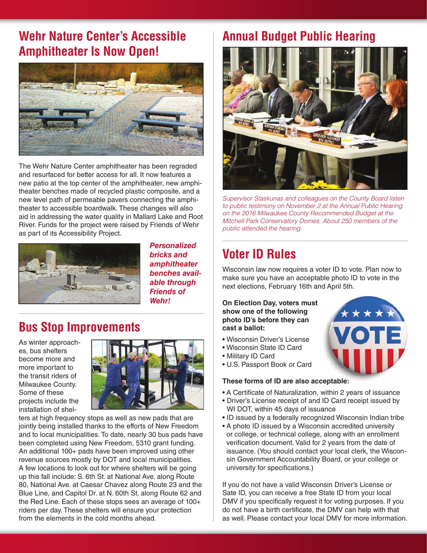#### **Wehr Nature Center's Accessible Amphitheater Is Now Open!**



The Wehr Nature Center amphitheater has been regraded and resurfaced for better access for all. It now features a new patio at the top center of the amphitheater, new amphitheater benches made of recycled plastic composite, and a new level path of permeable pavers connecting the amphitheater to accessible boardwalk. These changes will also aid in addressing the water quality in Mallard Lake and Root River. Funds for the project were raised by Friends of Wehr as part of its Accessibility Project.



*Personalized bricks and amphitheater benches available through Friends of Wehr!*

#### **Bus Stop Improvements**

As winter approaches, bus shelters become more and more important to the transit riders of Milwaukee County. Some of these projects include the installation of shel-



ters at high frequency stops as well as new pads that are jointly being installed thanks to the efforts of New Freedom and to local municipalities. To date, nearly 30 bus pads have been completed using New Freedom, 5310 grant funding. An additional 100+ pads have been improved using other revenue sources mostly by DOT and local municipalities. A few locations to look out for where shelters will be going up this fall include: S. 6th St. at National Ave. along Route 80, National Ave. at Caesar Chavez along Route 23 and the Blue Line, and Capitol Dr. at N. 60th St. along Route 62 and the Red Line. Each of these stops sees an average of 100+ riders per day. These shelters will ensure your protection from the elements in the cold months ahead.

#### **Annual Budget Public Hearing**



*Supervisor Staskunas and colleagues on the County Board listen to public testimony on November 2 at the Annual Public Hearing on the 2016 Milwaukee County Recommended Budget at the Mitchell Park Conservatory Domes. About 250 members of the public attended the hearing.*

### **Voter ID Rules**

Wisconsin law now requires a voter ID to vote. Plan now to make sure you have an acceptable photo ID to vote in the next elections, February 16th and April 5th.

#### **On Election Day, voters must show one of the following photo ID's before they can cast a ballot:**

- Wisconsin Driver's License
- Wisconsin State ID Card
- Military ID Card
- U.S. Passport Book or Card

#### **These forms of ID are also acceptable:**

- A Certificate of Naturalization, within 2 years of issuance
- Driver's License receipt of and ID Card receipt issued by WI DOT, within 45 days of issuance
- ID issued by a federally recognized Wisconsin Indian tribe
- A photo ID issued by a Wisconsin accredited university or college, or technical college, along with an enrollment verification document. Valid for 2 years from the date of issuance. (You should contact your local clerk, the Wisconsin Government Accountability Board, or your college or university for specifications.)

If you do not have a valid Wisconsin Driver's License or Sate ID, you can receive a free State ID from your local DMV if you specifically request it for voting purposes. If you do not have a birth certificate, the DMV can help with that as well. Please contact your local DMV for more information.